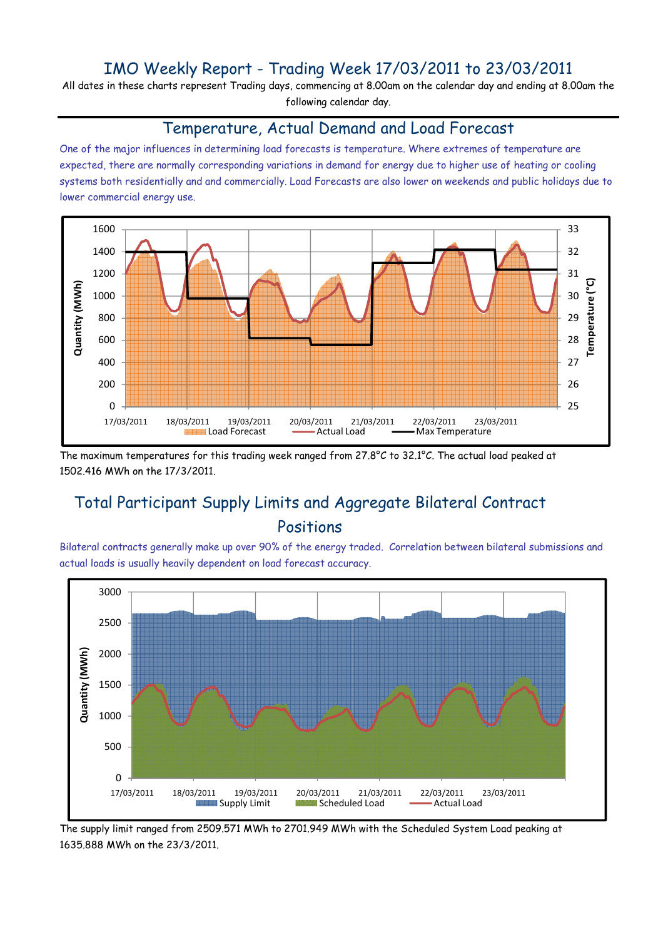## IMO Weekly Report - Trading Week 17/03/2011 to 23/03/2011

All dates in these charts represent Trading days, commencing at 8.00am on the calendar day and ending at 8.00am the following calendar day.

#### Temperature, Actual Demand and Load Forecast

One of the major influences in determining load forecasts is temperature. Where extremes of temperature are expected, there are normally corresponding variations in demand for energy due to higher use of heating or cooling systems both residentially and and commercially. Load Forecasts are also lower on weekends and public holidays due to lower commercial energy use.



The maximum temperatures for this trading week ranged from 27.8°C to 32.1°C. The actual load peaked at 1502.416 MWh on the 17/3/2011.

# Total Participant Supply Limits and Aggregate Bilateral Contract Positions

Bilateral contracts generally make up over 90% of the energy traded. Correlation between bilateral submissions and actual loads is usually heavily dependent on load forecast accuracy.



The supply limit ranged from 2509.571 MWh to 2701.949 MWh with the Scheduled System Load peaking at 1635.888 MWh on the 23/3/2011.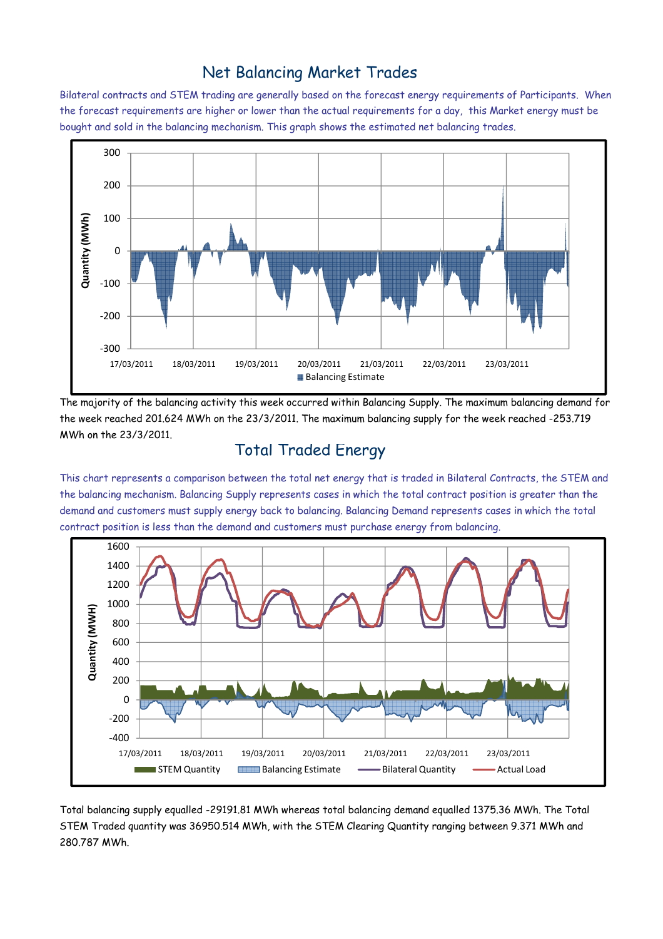## Net Balancing Market Trades

Bilateral contracts and STEM trading are generally based on the forecast energy requirements of Participants. When the forecast requirements are higher or lower than the actual requirements for a day, this Market energy must be bought and sold in the balancing mechanism. This graph shows the estimated net balancing trades.



The majority of the balancing activity this week occurred within Balancing Supply. The maximum balancing demand for the week reached 201.624 MWh on the 23/3/2011. The maximum balancing supply for the week reached -253.719 MWh on the 23/3/2011.

### Total Traded Energy

This chart represents a comparison between the total net energy that is traded in Bilateral Contracts, the STEM and the balancing mechanism. Balancing Supply represents cases in which the total contract position is greater than the demand and customers must supply energy back to balancing. Balancing Demand represents cases in which the total contract position is less than the demand and customers must purchase energy from balancing.



Total balancing supply equalled -29191.81 MWh whereas total balancing demand equalled 1375.36 MWh. The Total STEM Traded quantity was 36950.514 MWh, with the STEM Clearing Quantity ranging between 9.371 MWh and 280.787 MWh.